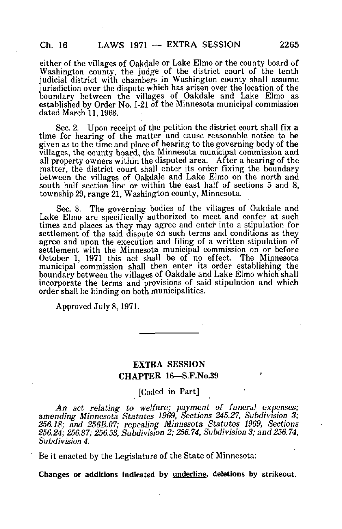either of the villages of Oakdale or Lake Elmo or the county board of Washington county, the judge of the district court of the tenth judicial district with chambers in Washington county shall assume jurisdiction over the dispute which has arisen over the location of the boundary between the villages of Oakdale and Lake Elmo as established by Order No. 1-21 of the Minnesota municipal commission dated March 11,1968.

Sec. 2. Upon receipt of the petition the district court shall fix a time for hearing of the matter and cause reasonable notice to be given as to the time and place of hearing to the governing body of the villages, the county hoard, the Minnesota municipal commission and all property owners within the disputed area. After a hearing of the matter, the district court shall enter its order fixing the boundary between the villages of Oakdale and Lake Elmo on the north and south half section line or within the east half of sections 5 and 8, township 29, range 21, Washington county, Minnesota.

Sec. 3. The governing bodies of the villages of Oakdale and Lake Elmo are specifically authorized to meet and confer at such times and places as they may agree and enter into a stipulation for settlement of the said dispute on such terms and conditions as they agree and upon the execution and filing of a written stipulation of settlement with the Minnesota municipal commission on or before October 1, 1971 this act shall be of no effect. The Minnesota municipal commission shall then enter its order establishing the boundary between the villages of Oakdale and Lake Elmo which shall incorporate the terms and provisions of said stipulation and which order shall be binding on botn municipalities.

Approved July 8,1971,

## EXTRA SESSION CHAPTER 16—S.F.No.39

[Coded in Part]

An act relating to welfare; payment of funeral expenses; amending Minnesota Statutes 1969, Sections 245.27, Subdivision 3; 256.18; and 256B.07; repealing Minnesota Statutes 1969, Sections 256.24; 256.37; 256.53, Subdivision 2; 256.74, Subdivision 3; and 256.74, Subdivision 4.

Be it enacted by the Legislature of the State of Minnesota: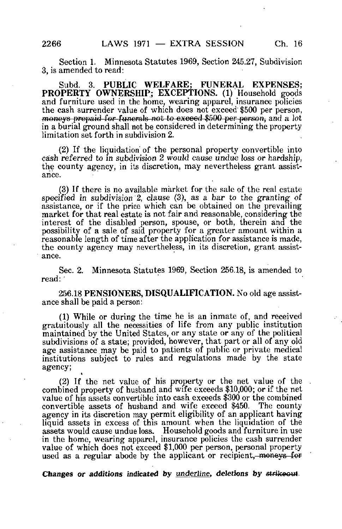Section 1. Minnesota Statutes 1969, Section 245.27, Subdivision 3, is amended to read:

Subd. 3. PUBLIC WELFARE; FUNERAL EXPENSES; PROPERTY OWNERSHIP; EXCEPTIONS. (1) Household goods and furniture used in the home, wearing apparel, insurance policies the cash surrender value of which does not exceed \$500 per person, moneys prepaid for funerals not to exceed \$500 per person, and a lot in a burial ground shall not be considered in determining the property limitation set forth in subdivision 2.

(2) If the liquidation' of the personal property convertible into cash referred to in subdivision 2 would cause undue loss or hardship, the county agency, in its discretion, may nevertheless grant assistance.

(3) If there is no available market for the sale of the real estate specified in subdivision 2, clause (3), as a bar to the granting of assistance, or if the price which can be obtained on the prevailing market for that real estate is not fair and reasonable, considering the interest of the disabled person, spouse, or both, therein and the possibility of a sale of said property for a greater amount within a reasonable length of time after the application for assistance is made, the county agency may nevertheless, in its discretion, grant assistance.

Sec. 2. Minnesota Statutes 1969, Section 256.18, is amended to read:

256.18 PENSIONERS, DISQUALIFICATION. No old age assistance shall be paid a person:

(1) While or during the time he is an inmate of, and received gratuitously all the necessities of life from any public institution maintained by the United States, or any state or any of the political subdivisions of a state; provided, however, that part or all of any old age assistance may be paid to patients of public or private medical institutions subject to rules and regulations made by the state agency; t

(2) If the net value of his property or the net value of the combined property of husband and wife exceeds \$10,000; or if the net value of his assets convertible into cash exceeds \$300 or the combined convertible assets of husband and wife exceed \$450. The county agency in its discretion may permit eligibility of an applicant having liquid assets in excess of this amount when the liquidation of the assets would cause undue loss. Household goods and furniture in use in the home, wearing apparel, insurance policies the cash surrender value of which does not exceed \$1,000 per person, personal property used as a regular abode by the applicant or recipient, moneys for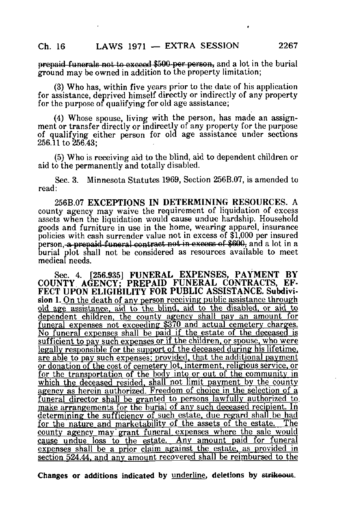prepaid funerals not to exceed \$500-per person, and a lot in the burial ground may be owned in addition to the property limitation;

(3) Who has, within five years prior to the date of his application for assistance, deprived himself directly or indirectly of any property for the purpose of qualifying for old age assistance;

(4) Whose spouse, living with the person, has made an assignment or transfer directly or indirectly of any property for the purpose of qualifying either person for old age assistance under sections 256.11 to 256.43;

(5) Who is receiving aid to the blind, aid to dependent children or aid to the permanently and totally disabled.

Sec. 3. Minnesota Statutes 1969, Section 256B.07, is amended to read:

256B.07 EXCEPTIONS IN DETERMINING RESOURCES. A county agency may waive the requirement of liquidation of excess assets when the liquidation would cause undue hardship. Household goods and furniture in use in the home, wearing apparel, insurance policies with cash surrender value not in excess of \$1,000 per insured person, a prepaid funeral contract not in excess of \$600, and a lot in a burial plot shall not be considered as resources available to meet medical needs.

Sec. 4. [256.935] FUNERAL EXPENSES, PAYMENT BY COUNTY AGENCY; PREPAID FUNERAL CONTRACTS, EF-FECT UPON ELIGIBILITY FOR PUBLIC ASSISTANCE. Subdivision 1. On the death of any person receiving public assistance through old age assistance, aid to the blind, aid to the disabled, or aid to dependent children, the county agency shall pay an amount for funeral expenses not exceeding \$370 and actual cemetery charges. No funeral expenses shall be paid if the estate of the deceased is sufficient to pay such expenses or if the children, or spouse, who were legally responsible for the support of the deceased during his lifetime, are able to pay such expenses: provided, that the additional payment or donation of the cost of cemetery lot, interment, religious service, or for the transportation of the body into or out of the community in which the deceased resided, shall not limit payment by the county agency as herein authorized. Freedom of choice in the selection of a funeral director shall be granted to persons lawfully authorized to. make arrangements for the burial of anv such deceased recipient. In determining the sufficiency of such estate, due regard shall be had for the nature and marketability of the assets of the estate. The county agency may'grant funeral expenses where the sale would cause undue loss to the estate. Any amount paid for funeral expenses shall be a prior claim against the estate, as provided in section 524.44. and anv amount recovered shall be reimbursed to the